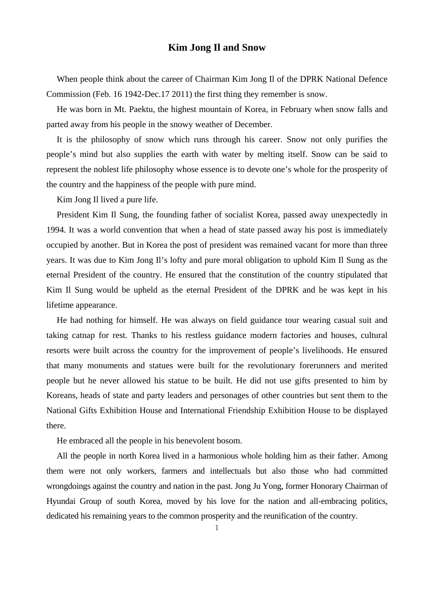## **Kim Jong Il and Snow**

When people think about the career of Chairman Kim Jong Il of the DPRK National Defence Commission (Feb. 16 1942-Dec.17 2011) the first thing they remember is snow.

He was born in Mt. Paektu, the highest mountain of Korea, in February when snow falls and parted away from his people in the snowy weather of December.

It is the philosophy of snow which runs through his career. Snow not only purifies the people's mind but also supplies the earth with water by melting itself. Snow can be said to represent the noblest life philosophy whose essence is to devote one's whole for the prosperity of the country and the happiness of the people with pure mind.

Kim Jong Il lived a pure life.

President Kim Il Sung, the founding father of socialist Korea, passed away unexpectedly in 1994. It was a world convention that when a head of state passed away his post is immediately occupied by another. But in Korea the post of president was remained vacant for more than three years. It was due to Kim Jong Il's lofty and pure moral obligation to uphold Kim Il Sung as the eternal President of the country. He ensured that the constitution of the country stipulated that Kim Il Sung would be upheld as the eternal President of the DPRK and he was kept in his lifetime appearance.

He had nothing for himself. He was always on field guidance tour wearing casual suit and taking catnap for rest. Thanks to his restless guidance modern factories and houses, cultural resorts were built across the country for the improvement of people's livelihoods. He ensured that many monuments and statues were built for the revolutionary forerunners and merited people but he never allowed his statue to be built. He did not use gifts presented to him by Koreans, heads of state and party leaders and personages of other countries but sent them to the National Gifts Exhibition House and International Friendship Exhibition House to be displayed there.

He embraced all the people in his benevolent bosom.

All the people in north Korea lived in a harmonious whole holding him as their father. Among them were not only workers, farmers and intellectuals but also those who had committed wrongdoings against the country and nation in the past. Jong Ju Yong, former Honorary Chairman of Hyundai Group of south Korea, moved by his love for the nation and all-embracing politics, dedicated his remaining years to the common prosperity and the reunification of the country.